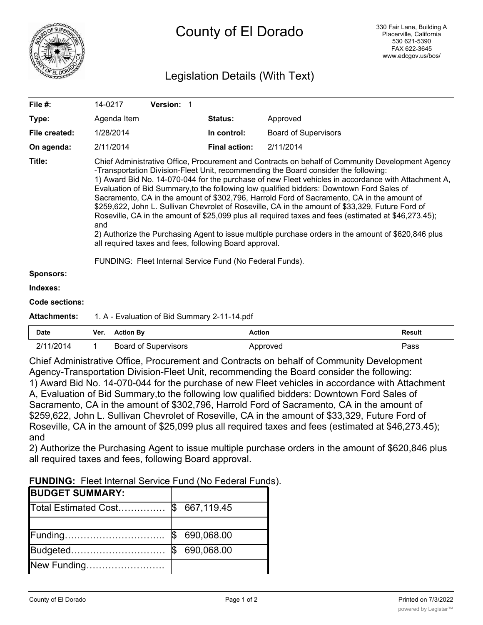

## Legislation Details (With Text)

| File #:               | 14-0217                                                                                                                                                                                                                                                                                                                                                                                                                                                                                                                                                                                                                                                                                                                                                                                                                                                                                                                                   | Version: 1                                   |                      |                             |  |
|-----------------------|-------------------------------------------------------------------------------------------------------------------------------------------------------------------------------------------------------------------------------------------------------------------------------------------------------------------------------------------------------------------------------------------------------------------------------------------------------------------------------------------------------------------------------------------------------------------------------------------------------------------------------------------------------------------------------------------------------------------------------------------------------------------------------------------------------------------------------------------------------------------------------------------------------------------------------------------|----------------------------------------------|----------------------|-----------------------------|--|
| Type:                 | Agenda Item                                                                                                                                                                                                                                                                                                                                                                                                                                                                                                                                                                                                                                                                                                                                                                                                                                                                                                                               |                                              | Status:              | Approved                    |  |
| File created:         | 1/28/2014                                                                                                                                                                                                                                                                                                                                                                                                                                                                                                                                                                                                                                                                                                                                                                                                                                                                                                                                 |                                              | In control:          | <b>Board of Supervisors</b> |  |
| On agenda:            | 2/11/2014                                                                                                                                                                                                                                                                                                                                                                                                                                                                                                                                                                                                                                                                                                                                                                                                                                                                                                                                 |                                              | <b>Final action:</b> | 2/11/2014                   |  |
| Title:                | Chief Administrative Office, Procurement and Contracts on behalf of Community Development Agency<br>-Transportation Division-Fleet Unit, recommending the Board consider the following:<br>1) Award Bid No. 14-070-044 for the purchase of new Fleet vehicles in accordance with Attachment A,<br>Evaluation of Bid Summary, to the following low qualified bidders: Downtown Ford Sales of<br>Sacramento, CA in the amount of \$302,796, Harrold Ford of Sacramento, CA in the amount of<br>\$259,622, John L. Sullivan Chevrolet of Roseville, CA in the amount of \$33,329, Future Ford of<br>Roseville, CA in the amount of \$25,099 plus all required taxes and fees (estimated at \$46,273.45);<br>and<br>2) Authorize the Purchasing Agent to issue multiple purchase orders in the amount of \$620,846 plus<br>all required taxes and fees, following Board approval.<br>FUNDING: Fleet Internal Service Fund (No Federal Funds). |                                              |                      |                             |  |
| <b>Sponsors:</b>      |                                                                                                                                                                                                                                                                                                                                                                                                                                                                                                                                                                                                                                                                                                                                                                                                                                                                                                                                           |                                              |                      |                             |  |
| Indexes:              |                                                                                                                                                                                                                                                                                                                                                                                                                                                                                                                                                                                                                                                                                                                                                                                                                                                                                                                                           |                                              |                      |                             |  |
| <b>Code sections:</b> |                                                                                                                                                                                                                                                                                                                                                                                                                                                                                                                                                                                                                                                                                                                                                                                                                                                                                                                                           |                                              |                      |                             |  |
| <b>Attachments:</b>   |                                                                                                                                                                                                                                                                                                                                                                                                                                                                                                                                                                                                                                                                                                                                                                                                                                                                                                                                           | 1. A - Evaluation of Bid Summary 2-11-14.pdf |                      |                             |  |
|                       |                                                                                                                                                                                                                                                                                                                                                                                                                                                                                                                                                                                                                                                                                                                                                                                                                                                                                                                                           |                                              |                      |                             |  |

| Date      | Ver. Action By              | Action   | <b>Result</b> |
|-----------|-----------------------------|----------|---------------|
| 2/11/2014 | <b>Board of Supervisors</b> | Approved | Pass          |

Chief Administrative Office, Procurement and Contracts on behalf of Community Development Agency-Transportation Division-Fleet Unit, recommending the Board consider the following: 1) Award Bid No. 14-070-044 for the purchase of new Fleet vehicles in accordance with Attachment A, Evaluation of Bid Summary,to the following low qualified bidders: Downtown Ford Sales of Sacramento, CA in the amount of \$302,796, Harrold Ford of Sacramento, CA in the amount of \$259,622, John L. Sullivan Chevrolet of Roseville, CA in the amount of \$33,329, Future Ford of Roseville, CA in the amount of \$25,099 plus all required taxes and fees (estimated at \$46,273.45); and

2) Authorize the Purchasing Agent to issue multiple purchase orders in the amount of \$620,846 plus all required taxes and fees, following Board approval.

| <b>FUNDING:</b> Fleet Internal Service Fund (No Federal Funds). |
|-----------------------------------------------------------------|
|-----------------------------------------------------------------|

| <b>BUDGET SUMMARY:</b> |     |            |
|------------------------|-----|------------|
| Total Estimated Cost   | 1\$ | 667,119.45 |
|                        |     |            |
| Funding                |     | 690,068.00 |
| Budgeted               |     | 690,068.00 |
| New Funding            |     |            |